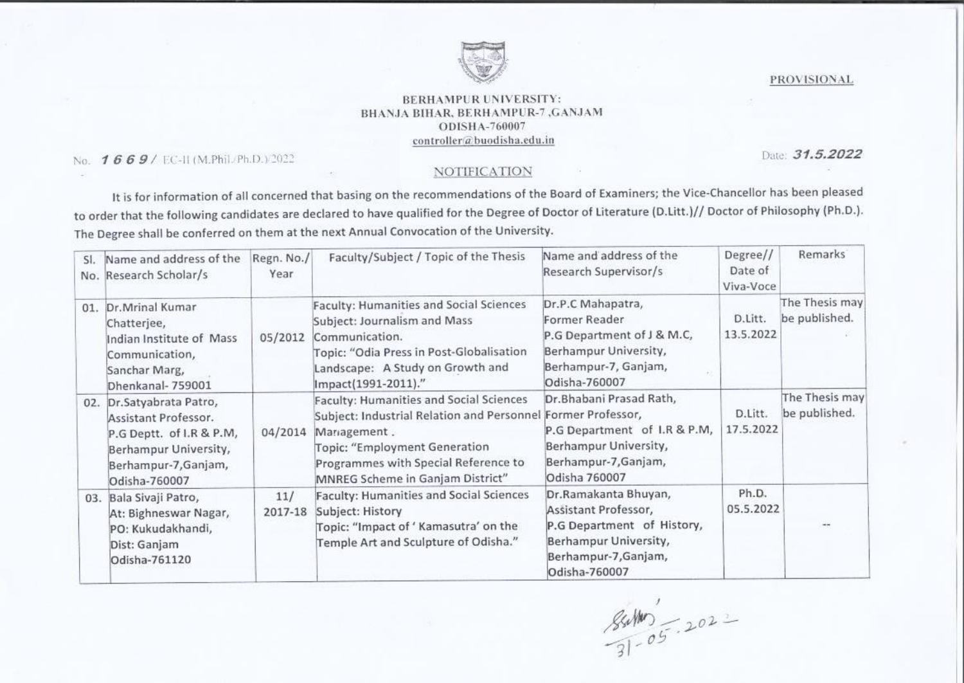

## BERHAMPUR UNIVERSITY: BHANJA BIHAR, BERHAMPUR-7 GANJAM ODISHA-760007  $controller@$ buodisha.edu.in

## NOTIFICATION

|  | No. $1669/$ EC-II (M.Phil./Ph.D.) 2022                                                                                                                                                                                                                                                                                           |                               | BERHAMPUR UNIVERSITY:<br>BHANJA BIHAR, BERHAMPUR-7, GANJAM<br>ODISHA-760007<br>controller@buodisha.edu.in<br>NOTIFICATION                                                                                                                                                                                                                                                                                                                                                                                                                                                           |                                                                                                                                                                                                                                                                                                                                                                                                                                                                                                                                                                                                                            |                                                                                  | <b>PROVISIONAL</b><br>Date: 31.5.2022                                                      |  |
|--|----------------------------------------------------------------------------------------------------------------------------------------------------------------------------------------------------------------------------------------------------------------------------------------------------------------------------------|-------------------------------|-------------------------------------------------------------------------------------------------------------------------------------------------------------------------------------------------------------------------------------------------------------------------------------------------------------------------------------------------------------------------------------------------------------------------------------------------------------------------------------------------------------------------------------------------------------------------------------|----------------------------------------------------------------------------------------------------------------------------------------------------------------------------------------------------------------------------------------------------------------------------------------------------------------------------------------------------------------------------------------------------------------------------------------------------------------------------------------------------------------------------------------------------------------------------------------------------------------------------|----------------------------------------------------------------------------------|--------------------------------------------------------------------------------------------|--|
|  | SI. Name and address of the<br>No. Research Scholar/s<br>01. Dr.Mrinal Kumar<br>Chatterjee,<br>Indian Institute of Mass<br>Communication,<br>Sanchar Marg,<br>Dhenkanal-759001<br>02. Dr.Satyabrata Patro,<br>Assistant Professor.<br>P.G Deptt. of I.R & P.M,<br>Berhampur University,<br>Berhampur-7, Ganjam,<br>Odisha-760007 | Regn. No./<br>Year<br>04/2014 | The Degree shall be conferred on them at the next Annual Convocation of the University.<br>Faculty/Subject / Topic of the Thesis<br>Faculty: Humanities and Social Sciences<br>Subject: Journalism and Mass<br>05/2012 Communication.<br>Topic: "Odia Press in Post-Globalisation<br>Landscape: A Study on Growth and<br>Impact(1991-2011)."<br>Faculty: Humanities and Social Sciences<br>Subject: Industrial Relation and Personnel Former Professor,<br>Management.<br>Topic: "Employment Generation<br>Programmes with Special Reference to<br>MNREG Scheme in Ganjam District" | It is for information of all concerned that basing on the recommendations of the Board of Examiners; the Vice-Chancellor has been pleased<br>to order that the following candidates are declared to have qualified for the Degree of Doctor of Literature (D.Litt.)// Doctor of Philosophy (Ph.D.).<br>Name and address of the<br>Research Supervisor/s<br>Dr.P.C Mahapatra,<br>Former Reader<br>P.G Department of J & M.C,<br>Berhampur University,<br>Berhampur-7, Ganjam,<br>Odisha-760007<br>Dr.Bhabani Prasad Rath,<br>P.G Department of I.R & P.M,<br>Berhampur University,<br>Berhampur-7, Ganjam,<br>Odisha 760007 | Degree//<br>Date of<br>Viva-Voce<br>D.Litt.<br>13.5.2022<br>D.Litt.<br>17.5.2022 | Remarks <sup>®</sup><br>The Thesis may<br>be published.<br>The Thesis may<br>be published. |  |
|  | 03. Bala Sivaji Patro,<br>At: Bighneswar Nagar,<br>PO: Kukudakhandi,<br>Dist: Ganjam<br>Odisha-761120                                                                                                                                                                                                                            | $11/$                         | Faculty: Humanities and Social Sciences<br>2017-18 Subject: History<br>Topic: "Impact of ' Kamasutra' on the<br>Temple Art and Sculpture of Odisha."                                                                                                                                                                                                                                                                                                                                                                                                                                | Dr.Ramakanta Bhuyan,<br>Assistant Professor,<br>P.G Department of History,<br>Berhampur University,<br>Berhampur-7, Ganjam,<br>Odisha-760007<br>$84000 - 2022$                                                                                                                                                                                                                                                                                                                                                                                                                                                             | Ph.D.<br>05.5.2022                                                               | $+$                                                                                        |  |
|  |                                                                                                                                                                                                                                                                                                                                  |                               |                                                                                                                                                                                                                                                                                                                                                                                                                                                                                                                                                                                     |                                                                                                                                                                                                                                                                                                                                                                                                                                                                                                                                                                                                                            |                                                                                  |                                                                                            |  |
|  |                                                                                                                                                                                                                                                                                                                                  |                               |                                                                                                                                                                                                                                                                                                                                                                                                                                                                                                                                                                                     |                                                                                                                                                                                                                                                                                                                                                                                                                                                                                                                                                                                                                            |                                                                                  |                                                                                            |  |
|  |                                                                                                                                                                                                                                                                                                                                  |                               |                                                                                                                                                                                                                                                                                                                                                                                                                                                                                                                                                                                     |                                                                                                                                                                                                                                                                                                                                                                                                                                                                                                                                                                                                                            |                                                                                  |                                                                                            |  |
|  |                                                                                                                                                                                                                                                                                                                                  |                               |                                                                                                                                                                                                                                                                                                                                                                                                                                                                                                                                                                                     |                                                                                                                                                                                                                                                                                                                                                                                                                                                                                                                                                                                                                            |                                                                                  |                                                                                            |  |
|  |                                                                                                                                                                                                                                                                                                                                  |                               |                                                                                                                                                                                                                                                                                                                                                                                                                                                                                                                                                                                     |                                                                                                                                                                                                                                                                                                                                                                                                                                                                                                                                                                                                                            |                                                                                  |                                                                                            |  |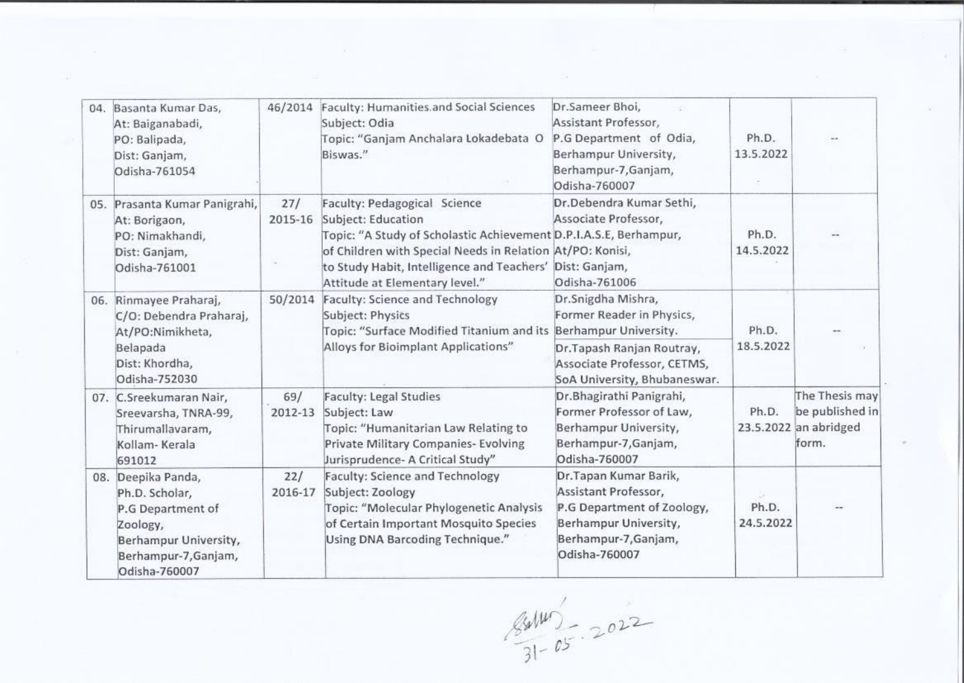| 04. Basanta Kumar Das,<br>At: Baiganabadi,<br>PO: Balipada,<br>Dist: Ganjam,<br>Odisha-761054                                           | 46/2014        | Faculty: Humanities and Social Sciences<br>Subject: Odia<br>Topic: "Ganjam Anchalara Lokadebata O<br>Biswas."                                                                                                                                                                      | Dr.Sameer Bhoi,<br>Assistant Professor,<br>P.G Department of Odia,<br>Berhampur University,<br>Berhampur-7, Ganjam,<br>Odisha-760007                                 | Ph.D.<br>13.5.2022 |                                                                     |
|-----------------------------------------------------------------------------------------------------------------------------------------|----------------|------------------------------------------------------------------------------------------------------------------------------------------------------------------------------------------------------------------------------------------------------------------------------------|----------------------------------------------------------------------------------------------------------------------------------------------------------------------|--------------------|---------------------------------------------------------------------|
| 05. Prasanta Kumar Panigrahi,<br>At: Borigaon,<br>PO: Nimakhandi,<br>Dist: Ganjam,<br>Odisha-761001                                     | 27/<br>2015-16 | Faculty: Pedagogical Science<br>Subject: Education<br>Topic: "A Study of Scholastic Achievement D.P.I.A.S.E, Berhampur,<br>of Children with Special Needs in Relation At/PO: Konisi,<br>to Study Habit, Intelligence and Teachers' Dist: Ganjam,<br>Attitude at Elementary level." | Dr.Debendra Kumar Sethi,<br>Associate Professor,<br>Odisha-761006                                                                                                    | Ph.D.<br>14.5.2022 |                                                                     |
| 06. Rinmayee Praharaj,<br>C/O: Debendra Praharaj,<br>At/PO:Nimikheta,<br>Belapada<br>Dist: Khordha,<br>Odisha-752030                    | 50/2014        | Faculty: Science and Technology<br>Subject: Physics<br>Topic: "Surface Modified Titanium and its<br>Alloys for Bioimplant Applications"                                                                                                                                            | Dr.Snigdha Mishra,<br>Former Reader in Physics,<br>Berhampur University.<br>Dr.Tapash Ranjan Routray,<br>Associate Professor, CETMS,<br>SoA University, Bhubaneswar. | Ph.D.<br>18.5.2022 |                                                                     |
| 07. C.Sreekumaran Nair,<br>Sreevarsha, TNRA-99,<br>Thirumallavaram,<br>Kollam-Kerala<br>691012                                          | 69/<br>2012-13 | <b>Faculty: Legal Studies</b><br>Subject: Law<br>Topic: "Humanitarian Law Relating to<br>Private Military Companies- Evolving<br>Jurisprudence- A Critical Study"                                                                                                                  | Dr.Bhagirathi Panigrahi,<br>Former Professor of Law,<br>Berhampur University,<br>Berhampur-7, Ganjam,<br>Odisha-760007                                               | Ph.D.              | The Thesis may<br>be published in<br>23.5.2022 an abridged<br>form. |
| 08. Deepika Panda,<br>Ph.D. Scholar,<br>P.G Department of<br>Zoology,<br>Berhampur University,<br>Berhampur-7, Ganjam,<br>Odisha-760007 | 22/<br>2016-17 | Faculty: Science and Technology<br>Subject: Zoology<br>Topic: "Molecular Phylogenetic Analysis<br>of Certain Important Mosquito Species<br>Using DNA Barcoding Technique."                                                                                                         | Dr.Tapan Kumar Barik,<br>Assistant Professor,<br>P.G Department of Zoology,<br>Berhampur University,<br>Berhampur-7, Ganjam,<br>Odisha-760007                        | Ph.D.<br>24.5.2022 |                                                                     |

 $\frac{84140}{31-05}$  2022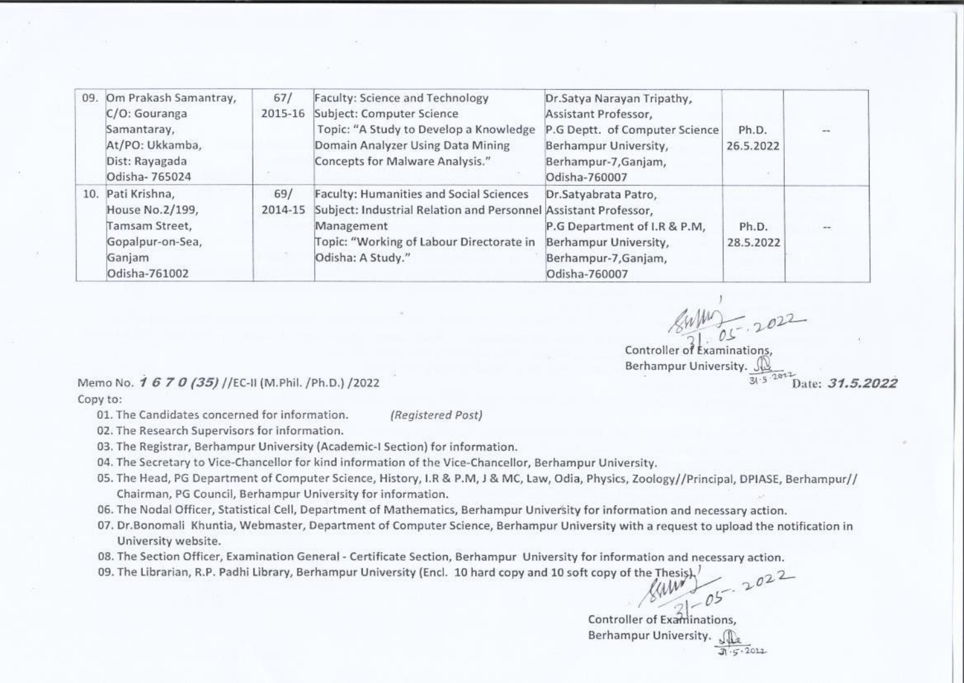| 09. | Om Prakash Samantray,<br>C/O: Gouranga<br>Samantaray,<br>At/PO: Ukkamba,<br>Dist: Rayagada<br>Odisha-765024 | 67/<br>2015-16 | Faculty: Science and Technology<br>Subject: Computer Science<br>Topic: "A Study to Develop a Knowledge<br>Domain Analyzer Using Data Mining<br>Concepts for Malware Analysis."                   | Dr.Satya Narayan Tripathy,<br>Assistant Professor,<br>P.G Deptt. of Computer Science<br>Berhampur University,<br>Berhampur-7, Ganjam,<br>Odisha-760007 | Ph.D.<br>26.5.2022 | 일품 |
|-----|-------------------------------------------------------------------------------------------------------------|----------------|--------------------------------------------------------------------------------------------------------------------------------------------------------------------------------------------------|--------------------------------------------------------------------------------------------------------------------------------------------------------|--------------------|----|
|     | 10. Pati Krishna,<br>House No.2/199,<br>Tamsam Street,<br>Gopalpur-on-Sea,<br>Ganjam<br>Odisha-761002       | 69/<br>2014-15 | <b>Faculty: Humanities and Social Sciences</b><br>Subject: Industrial Relation and Personnel Assistant Professor,<br>Management<br>Topic: "Working of Labour Directorate in<br>Odisha: A Study." | Dr.Satyabrata Patro,<br>P.G Department of I.R & P.M,<br>Berhampur University,<br>Berhampur-7, Ganjam,<br>Odisha-760007                                 | Ph.D.<br>28.5.2022 |    |

Controller of Examinations.  $\begin{array}{c}\n\sqrt{4\pi} \\
\hline\n\end{array}$ <br>
er of Examinations,<br>
pur University. Berhampur University. Date: 31.5.2022

Memo No. 1 6 7 0 (35) //EC-II (M.Phil. /Ph.D.) /2022

Copy to:

01. The Candidates concerned for information. (Registered Post)

02. The Research Supervisors for information.

03. The Registrar, Berhampur University (Academic-I Section) for information.

04. The Secretary to Vice-Chancellor for kind information of the Vice-Chancellor, Berhampur University.

- 05. The Head, PG Department of Computer Science, History, I.R & P.M, J & MC, Law, Odia, Physics, Zoology//Principal, DPIASE, Berhampur// Chairman, PG Council, Berhampur University for information.
- 06. The Nodal Officer, Statistical Cell, Department of Mathematics, Berhampur University for information and necessary action.
- 07. Dr.Bonomali Khuntia, Webmaster, Department of Computer Science, Berhampur University with a request to upload the notification in University website.
- 08. The Section Officer, Examination General Certificate Section, Berhampur University for information and necessary action necessary action.<br>2022

09. The Librarian, R.P. Padhi Library, Berhampur University (Encl. 10 hard copy and 10 soft copy of the Thesis).

Controller of Examinations,<br>Berhampur University.  $\mathbb{Q}_\infty$ Berhampur University.